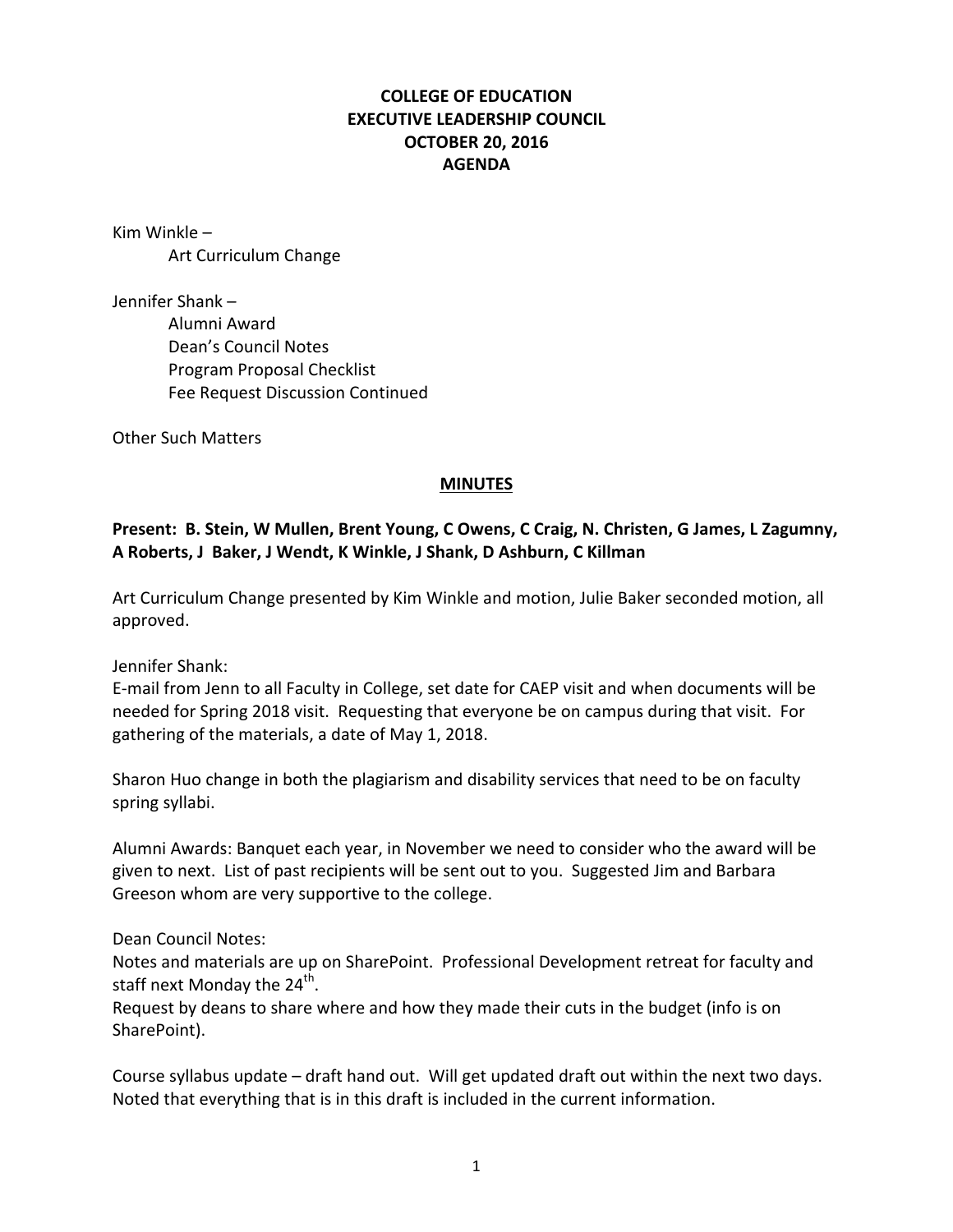## **COLLEGE OF EDUCATION EXECUTIVE LEADERSHIP COUNCIL OCTOBER 20, 2016 AGENDA**

Kim Winkle  $-$ Art Curriculum Change

Jennifer Shank – Alumni Award Dean's Council Notes Program Proposal Checklist Fee Request Discussion Continued

**Other Such Matters** 

## **MINUTES**

## Present: B. Stein, W Mullen, Brent Young, C Owens, C Craig, N. Christen, G James, L Zagumny, A Roberts, J Baker, J Wendt, K Winkle, J Shank, D Ashburn, C Killman

Art Curriculum Change presented by Kim Winkle and motion, Julie Baker seconded motion, all approved.

Jennifer Shank:

E-mail from Jenn to all Faculty in College, set date for CAEP visit and when documents will be needed for Spring 2018 visit. Requesting that everyone be on campus during that visit. For gathering of the materials, a date of May 1, 2018.

Sharon Huo change in both the plagiarism and disability services that need to be on faculty spring syllabi.

Alumni Awards: Banquet each year, in November we need to consider who the award will be given to next. List of past recipients will be sent out to you. Suggested Jim and Barbara Greeson whom are very supportive to the college.

Dean Council Notes:

Notes and materials are up on SharePoint. Professional Development retreat for faculty and staff next Monday the  $24^{th}$ .

Request by deans to share where and how they made their cuts in the budget (info is on SharePoint).

Course syllabus update – draft hand out. Will get updated draft out within the next two days. Noted that everything that is in this draft is included in the current information.